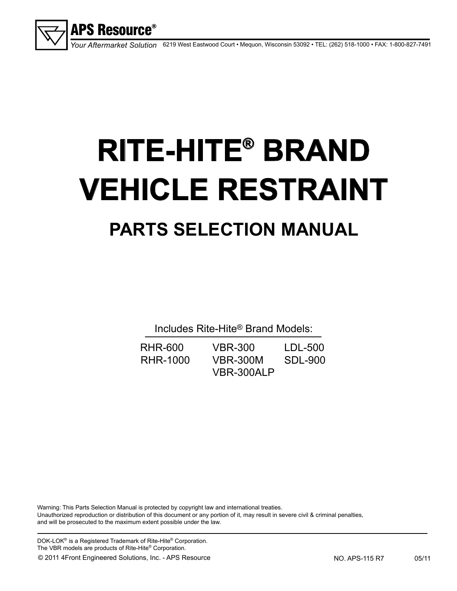

6219 West Eastwood Court • Mequon, Wisconsin 53092 • TEL: (262) 518-1000 • FAX: 1-800-827-7491 *Your Aftermarket Solution*

# **RITE-HITE® BRAND VEHICLE RESTRAINT PARTS SELECTION MANUAL**

Includes Rite-Hite® Brand Models:

| RHR-600  | <b>VBR-300</b>  | LDL-500 |
|----------|-----------------|---------|
| RHR-1000 | <b>VBR-300M</b> | SDL-900 |
|          | VBR-300ALP      |         |

Warning: This Parts Selection Manual is protected by copyright law and international treaties. Unauthorized reproduction or distribution of this document or any portion of it, may result in severe civil & criminal penalties, and will be prosecuted to the maximum extent possible under the law.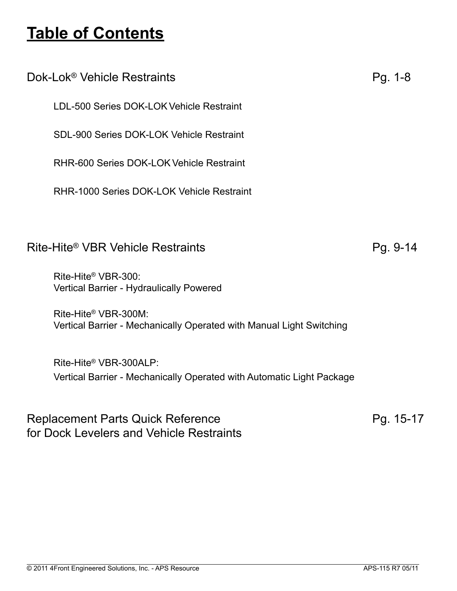## and the state of the state of the state of the state of the state of the state of the state of the state of th<br>The state of the state of the state of the state of the state of the state of the state of the state of the st **Table of Contents**

| Dok-Lok <sup>®</sup> Vehicle Restraints                                                         | $Pg. 1-8$ |
|-------------------------------------------------------------------------------------------------|-----------|
| LDL-500 Series DOK-LOK Vehicle Restraint                                                        |           |
| SDL-900 Series DOK-LOK Vehicle Restraint                                                        |           |
| RHR-600 Series DOK-LOK Vehicle Restraint                                                        |           |
| RHR-1000 Series DOK-LOK Vehicle Restraint                                                       |           |
|                                                                                                 |           |
| Rite-Hite® VBR Vehicle Restraints                                                               | Pg. 9-14  |
| Rite-Hite® VBR-300:<br><b>Vertical Barrier - Hydraulically Powered</b>                          |           |
| Rite-Hite® VBR-300M:<br>Vertical Barrier - Mechanically Operated with Manual Light Switching    |           |
| Rite-Hite® VBR-300ALP:<br>Vertical Barrier - Mechanically Operated with Automatic Light Package |           |
| <b>Replacement Parts Quick Reference</b>                                                        | Pg. 15-17 |

for Dock Levelers and Vehicle Restraints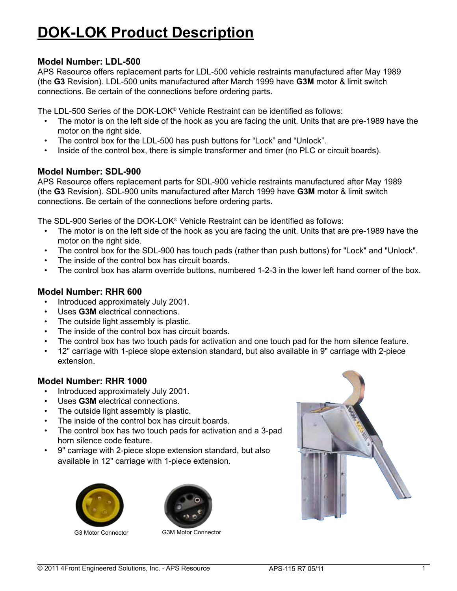# **DOK-LOK Product Description**

## **Model Number: LDL-500**

APS Resource offers replacement parts for LDL-500 vehicle restraints manufactured after May 1989 (the **G3** Revision). LDL-500 units manufactured after March 1999 have **G3M** motor & limit switch connections. Be certain of the connections before ordering parts.

The LDL-500 Series of the DOK-LOK® Vehicle Restraint can be identified as follows:

- The motor is on the left side of the hook as you are facing the unit. Units that are pre-1989 have the motor on the right side.
- The control box for the LDL-500 has push buttons for "Lock" and "Unlock".
- Inside of the control box, there is simple transformer and timer (no PLC or circuit boards).

## **Model Number: SDL-900**

APS Resource offers replacement parts for SDL-900 vehicle restraints manufactured after May 1989 (the **G3** Revision). SDL-900 units manufactured after March 1999 have **G3M** motor & limit switch connections. Be certain of the connections before ordering parts.

The SDL-900 Series of the DOK-LOK® Vehicle Restraint can be identified as follows:

- The motor is on the left side of the hook as you are facing the unit. Units that are pre-1989 have the motor on the right side.
- The control box for the SDL-900 has touch pads (rather than push buttons) for "Lock" and "Unlock".
- The inside of the control box has circuit boards.
- The control box has alarm override buttons, numbered 1-2-3 in the lower left hand corner of the box.

#### **Model Number: RHR 600**

- • Introduced approximately July 2001.
- Uses G3M electrical connections.
- The outside light assembly is plastic.
- • The inside of the control box has circuit boards.
- The control box has two touch pads for activation and one touch pad for the horn silence feature.
- • 12" carriage with 1-piece slope extension standard, but also available in 9" carriage with 2-piece extension.

## **Model Number: RHR 1000**

- • Introduced approximately July 2001.
- • Uses **G3M** electrical connections.
- The outside light assembly is plastic.
- • The inside of the control box has circuit boards.
- The control box has two touch pads for activation and a 3-pad horn silence code feature.
- • 9" carriage with 2-piece slope extension standard, but also available in 12" carriage with 1-piece extension.





G3 Motor Connector G3M Motor Connector

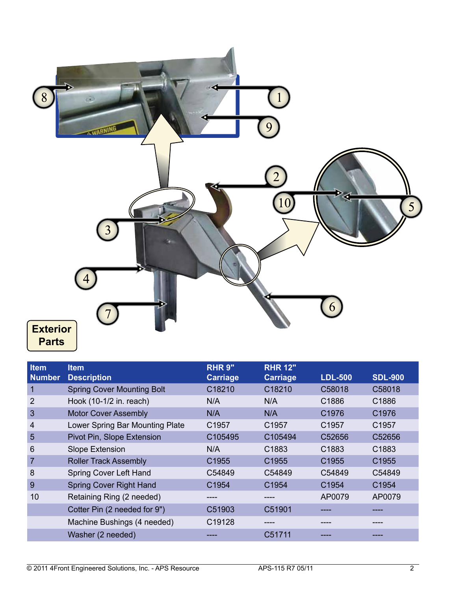

| <b>Item</b><br><b>Number</b> | <b>Item</b><br><b>Description</b> | <b>RHR 9"</b><br><b>Carriage</b> | <b>RHR 12"</b><br><b>Carriage</b> | <b>LDL-500</b>    | <b>SDL-900</b>    |
|------------------------------|-----------------------------------|----------------------------------|-----------------------------------|-------------------|-------------------|
| $\mathbf 1$                  | <b>Spring Cover Mounting Bolt</b> | C18210                           | C18210                            | C58018            | C58018            |
| $\overline{2}$               | Hook (10-1/2 in. reach)           | N/A                              | N/A                               | C <sub>1886</sub> | C <sub>1886</sub> |
| 3                            | <b>Motor Cover Assembly</b>       | N/A                              | N/A                               | C1976             | C1976             |
| 4                            | Lower Spring Bar Mounting Plate   | C <sub>1957</sub>                | C <sub>1957</sub>                 | C1957             | C1957             |
| $5\overline{5}$              | Pivot Pin, Slope Extension        | C105495                          | C105494                           | C52656            | C52656            |
| 6                            | Slope Extension                   | N/A                              | C <sub>1883</sub>                 | C1883             | C1883             |
| 7                            | <b>Roller Track Assembly</b>      | C <sub>1955</sub>                | C <sub>1955</sub>                 | C1955             | C <sub>1955</sub> |
| 8                            | Spring Cover Left Hand            | C54849                           | C54849                            | C54849            | C54849            |
| 9                            | <b>Spring Cover Right Hand</b>    | C <sub>1954</sub>                | C <sub>1954</sub>                 | C <sub>1954</sub> | C <sub>1954</sub> |
| 10                           | Retaining Ring (2 needed)         |                                  |                                   | AP0079            | AP0079            |
|                              | Cotter Pin (2 needed for 9")      | C51903                           | C51901                            |                   |                   |
|                              | Machine Bushings (4 needed)       | C19128                           |                                   |                   |                   |
|                              | Washer (2 needed)                 |                                  | C51711                            |                   |                   |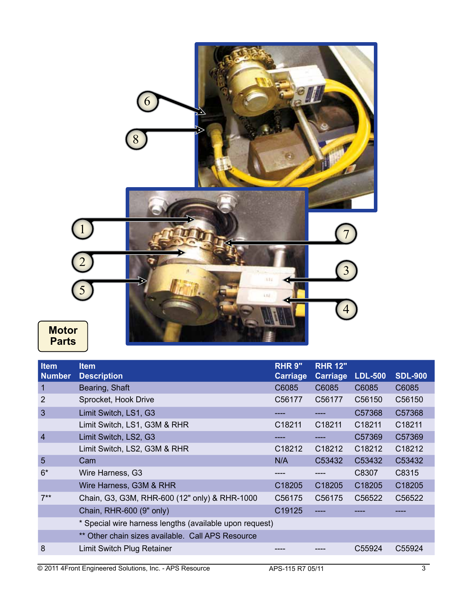

| <b>Item</b><br><b>Number</b> | <b>Item</b><br><b>Description</b>                       | <b>RHR 9"</b><br><b>Carriage</b> | <b>RHR 12"</b><br>Carriage | <b>LDL-500</b> | <b>SDL-900</b> |
|------------------------------|---------------------------------------------------------|----------------------------------|----------------------------|----------------|----------------|
| 1                            | Bearing, Shaft                                          | C6085                            | C6085                      | C6085          | C6085          |
| $\overline{2}$               | Sprocket, Hook Drive                                    | C56177                           | C56177                     | C56150         | C56150         |
| 3                            | Limit Switch, LS1, G3                                   |                                  |                            | C57368         | C57368         |
|                              | Limit Switch, LS1, G3M & RHR                            | C <sub>18211</sub>               | C18211                     | C18211         | C18211         |
| $\overline{4}$               | Limit Switch, LS2, G3                                   |                                  |                            | C57369         | C57369         |
|                              | Limit Switch, LS2, G3M & RHR                            | C18212                           | C18212                     | C18212         | C18212         |
| 5                            | Cam                                                     | N/A                              | C53432                     | C53432         | C53432         |
| $6*$                         | Wire Harness, G3                                        |                                  |                            | C8307          | C8315          |
|                              | Wire Harness, G3M & RHR                                 | C18205                           | C18205                     | C18205         | C18205         |
| $7**$                        | Chain, G3, G3M, RHR-600 (12" only) & RHR-1000           | C56175                           | C56175                     | C56522         | C56522         |
|                              | Chain, RHR-600 (9" only)                                | C19125                           |                            |                |                |
|                              | * Special wire harness lengths (available upon request) |                                  |                            |                |                |
|                              | ** Other chain sizes available. Call APS Resource       |                                  |                            |                |                |
| 8                            | Limit Switch Plug Retainer                              |                                  |                            | C55924         | C55924         |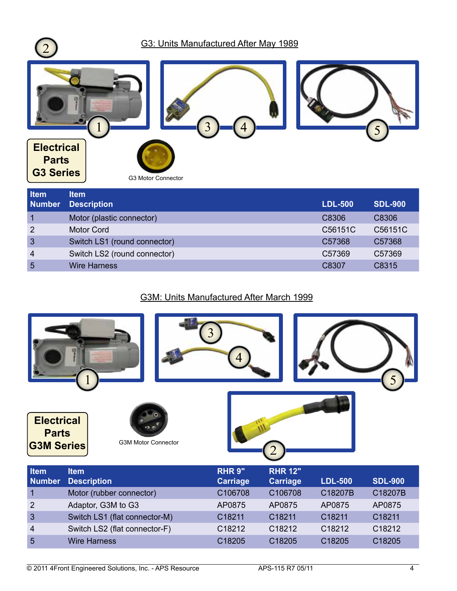

| <b>Item</b>    | <b>Item</b>                  |                |                |
|----------------|------------------------------|----------------|----------------|
| <b>Number</b>  | <b>Description</b>           | <b>LDL-500</b> | <b>SDL-900</b> |
|                | Motor (plastic connector)    | C8306          | C8306          |
| $\overline{2}$ | <b>Motor Cord</b>            | C56151C        | C56151C        |
| $\mathbf{3}$   | Switch LS1 (round connector) | C57368         | C57368         |
| $\overline{4}$ | Switch LS2 (round connector) | C57369         | C57369         |
| 5              | <b>Wire Harness</b>          | C8307          | C8315          |
|                |                              |                |                |

## G3M: Units Manufactured After March 1999



| <b>Item</b><br><b>Number</b> | <b>Item</b><br><b>Description</b> | <b>RHR 9"</b><br><b>Carriage</b> | <b>RHR 12"</b><br><b>Carriage</b> | <b>LDL-500</b>     | <b>SDL-900</b>     |
|------------------------------|-----------------------------------|----------------------------------|-----------------------------------|--------------------|--------------------|
| $\overline{1}$               | Motor (rubber connector)          | C106708                          | C106708                           | C18207B            | C18207B            |
| $\overline{2}$               | Adaptor, G3M to G3                | AP0875                           | AP0875                            | AP0875             | AP0875             |
| $\overline{3}$               | Switch LS1 (flat connector-M)     | C <sub>18211</sub>               | C <sub>18211</sub>                | C18211             | C18211             |
| $\overline{4}$               | Switch LS2 (flat connector-F)     | C <sub>18212</sub>               | C <sub>18212</sub>                | C <sub>18212</sub> | C <sub>18212</sub> |
| 5                            | <b>Wire Harness</b>               | C18205                           | C <sub>18205</sub>                | C18205             | C18205             |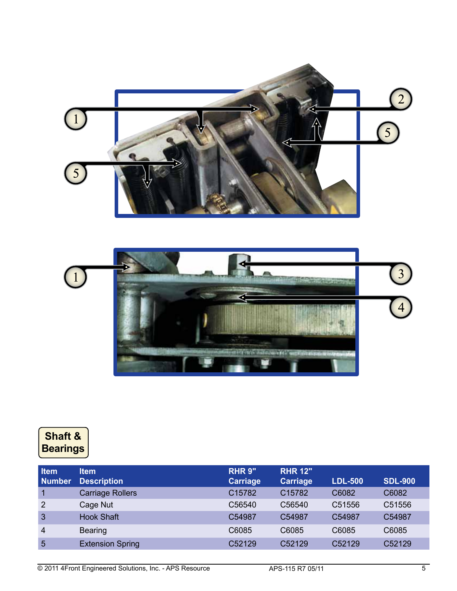



## **Shaft & Bearings**

| <b>Item</b><br><b>Number</b> | <b>Item</b><br><b>Description</b> | <b>RHR 9"</b><br><b>Carriage</b> | <b>RHR 12"</b><br>Carriage | <b>LDL-500</b> | <b>SDL-900</b> |
|------------------------------|-----------------------------------|----------------------------------|----------------------------|----------------|----------------|
| 1                            | <b>Carriage Rollers</b>           | C15782                           | C15782                     | C6082          | C6082          |
| $\overline{2}$               | Cage Nut                          | C56540                           | C56540                     | C51556         | C51556         |
| $\overline{3}$               | <b>Hook Shaft</b>                 | C54987                           | C <sub>54987</sub>         | C54987         | C54987         |
| $\overline{4}$               | <b>Bearing</b>                    | C6085                            | C6085                      | C6085          | C6085          |
| $5\phantom{1}$               | <b>Extension Spring</b>           | C52129                           | C52129                     | C52129         | C52129         |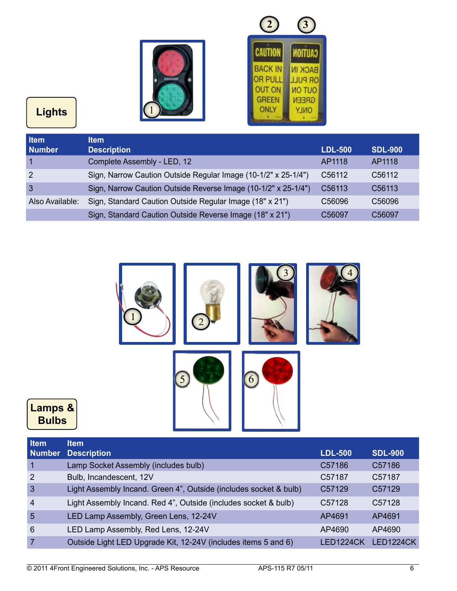

| <b>CAUTION</b> |
|----------------|
| <b>BACK IN</b> |
| <b>OR PULL</b> |
| <b>MO TUO</b>  |
| <b>GREEN</b>   |
| <b>ONLY</b>    |
|                |

# **Lights**

**Lamps & Bulbs**

| Item<br><b>Number</b> | <b>Item</b><br><b>Description</b>                              | <b>LDL-500</b> | <b>SDL-900</b>      |
|-----------------------|----------------------------------------------------------------|----------------|---------------------|
|                       | Complete Assembly - LED, 12                                    | AP1118         | AP1118              |
| $\overline{2}$        | Sign, Narrow Caution Outside Regular Image (10-1/2" x 25-1/4") | C56112         | C56112              |
| 3                     | Sign, Narrow Caution Outside Reverse Image (10-1/2" x 25-1/4") | C56113         | C <sub>56</sub> 113 |
| Also Available:       | Sign, Standard Caution Outside Regular Image (18" x 21")       | C56096         | C56096              |
|                       | Sign, Standard Caution Outside Reverse Image (18" x 21")       | C56097         | C56097              |



| <b>Item</b>    | <b>Item</b>                                                       |                     |                  |
|----------------|-------------------------------------------------------------------|---------------------|------------------|
| <b>Number</b>  | <b>Description</b>                                                | <b>LDL-500</b>      | <b>SDL-900</b>   |
| $\overline{1}$ | Lamp Socket Assembly (includes bulb)                              | C57186              | C57186           |
| $\overline{2}$ | Bulb, Incandescent, 12V                                           | C57187              | C57187           |
| 3              | Light Assembly Incand. Green 4", Outside (includes socket & bulb) | C <sub>57</sub> 129 | C57129           |
| $\overline{4}$ | Light Assembly Incand. Red 4", Outside (includes socket & bulb)   | C57128              | C57128           |
| 5              | LED Lamp Assembly, Green Lens, 12-24V                             | AP4691              | AP4691           |
| 6              | LED Lamp Assembly, Red Lens, 12-24V                               | AP4690              | AP4690           |
| $\overline{7}$ | Outside Light LED Upgrade Kit, 12-24V (includes items 5 and 6)    | <b>LED1224CK</b>    | <b>LED1224CK</b> |
|                |                                                                   |                     |                  |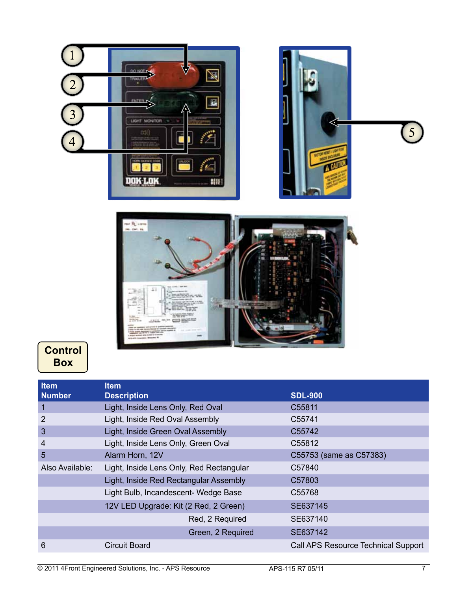



## **Control Box**

| <b>Item</b>     | <b>Item</b>                              |                                     |
|-----------------|------------------------------------------|-------------------------------------|
| <b>Number</b>   | <b>Description</b>                       | <b>SDL-900</b>                      |
| 1               | Light, Inside Lens Only, Red Oval        | C55811                              |
| 2               | Light, Inside Red Oval Assembly          | C55741                              |
| $\mathbf{3}$    | Light, Inside Green Oval Assembly        | C <sub>55742</sub>                  |
| $\overline{4}$  | Light, Inside Lens Only, Green Oval      | C55812                              |
| 5               | Alarm Horn, 12V                          | C55753 (same as C57383)             |
| Also Available: | Light, Inside Lens Only, Red Rectangular | C57840                              |
|                 | Light, Inside Red Rectangular Assembly   | C <sub>57803</sub>                  |
|                 | Light Bulb, Incandescent- Wedge Base     | C <sub>55768</sub>                  |
|                 | 12V LED Upgrade: Kit (2 Red, 2 Green)    | SE637145                            |
|                 | Red, 2 Required                          | SE637140                            |
|                 | Green, 2 Required                        | SE637142                            |
| 6               | Circuit Board                            | Call APS Resource Technical Support |

5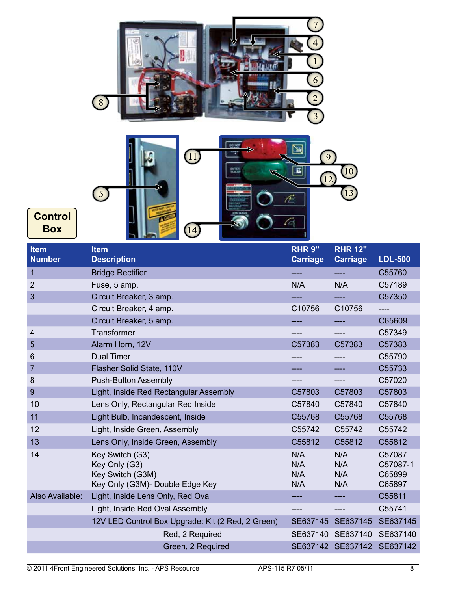



| Item<br><b>Number</b> | <b>Item</b><br><b>Description</b>                                                       | <b>RHR 9"</b><br><b>Carriage</b> | <b>RHR 12"</b><br><b>Carriage</b> | <b>LDL-500</b>                         |
|-----------------------|-----------------------------------------------------------------------------------------|----------------------------------|-----------------------------------|----------------------------------------|
| 1                     | <b>Bridge Rectifier</b>                                                                 | ----                             |                                   | C55760                                 |
| $\overline{2}$        | Fuse, 5 amp.                                                                            | N/A                              | N/A                               | C57189                                 |
| 3                     | Circuit Breaker, 3 amp.                                                                 |                                  |                                   | C57350                                 |
|                       | Circuit Breaker, 4 amp.                                                                 | C10756                           | C10756                            | ----                                   |
|                       | Circuit Breaker, 5 amp.                                                                 |                                  |                                   | C65609                                 |
| 4                     | Transformer                                                                             |                                  |                                   | C57349                                 |
| 5                     | Alarm Horn, 12V                                                                         | C57383                           | C57383                            | C57383                                 |
| 6                     | <b>Dual Timer</b>                                                                       |                                  | ----                              | C55790                                 |
| $\overline{7}$        | Flasher Solid State, 110V                                                               |                                  |                                   | C55733                                 |
| 8                     | <b>Push-Button Assembly</b>                                                             |                                  |                                   | C57020                                 |
| 9                     | Light, Inside Red Rectangular Assembly                                                  | C57803                           | C57803                            | C57803                                 |
| 10                    | Lens Only, Rectangular Red Inside                                                       | C57840                           | C57840                            | C57840                                 |
| 11                    | Light Bulb, Incandescent, Inside                                                        | C55768                           | C55768                            | C55768                                 |
| 12                    | Light, Inside Green, Assembly                                                           | C55742                           | C55742                            | C55742                                 |
| 13                    | Lens Only, Inside Green, Assembly                                                       | C55812                           | C55812                            | C55812                                 |
| 14                    | Key Switch (G3)<br>Key Only (G3)<br>Key Switch (G3M)<br>Key Only (G3M)- Double Edge Key | N/A<br>N/A<br>N/A<br>N/A         | N/A<br>N/A<br>N/A<br>N/A          | C57087<br>C57087-1<br>C65899<br>C65897 |
| Also Available:       | Light, Inside Lens Only, Red Oval                                                       |                                  |                                   | C55811                                 |
|                       | Light, Inside Red Oval Assembly                                                         |                                  |                                   | C55741                                 |
|                       | 12V LED Control Box Upgrade: Kit (2 Red, 2 Green)                                       | SE637145                         | SE637145                          | SE637145                               |
|                       | Red, 2 Required                                                                         | SE637140                         | SE637140                          | SE637140                               |
|                       | Green, 2 Required                                                                       |                                  | SE637142 SE637142                 | SE637142                               |

**Box**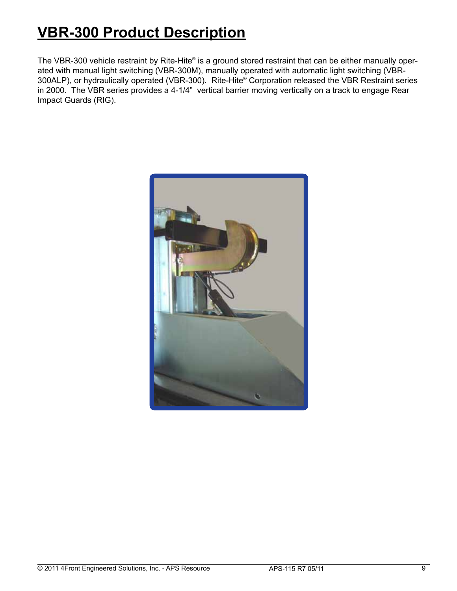# **VBR-300 Product Description**

The VBR-300 vehicle restraint by Rite-Hite® is a ground stored restraint that can be either manually operated with manual light switching (VBR-300M), manually operated with automatic light switching (VBR-300ALP), or hydraulically operated (VBR-300). Rite-Hite® Corporation released the VBR Restraint series in 2000. The VBR series provides a 4-1/4" vertical barrier moving vertically on a track to engage Rear Impact Guards (RIG).

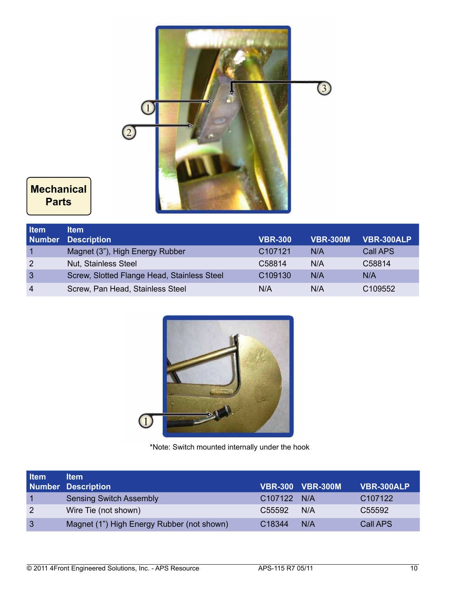

## **Mechanical Parts**

| <b>Item</b>    | ltem                                        |                     |                 |                     |
|----------------|---------------------------------------------|---------------------|-----------------|---------------------|
| <b>Number</b>  | <b>Description</b>                          | <b>VBR-300</b>      | <b>VBR-300M</b> | <b>VBR-300ALP</b>   |
|                | Magnet (3"), High Energy Rubber             | C <sub>107121</sub> | N/A             | Call APS            |
| 2              | Nut, Stainless Steel                        | C58814              | N/A             | C58814              |
| $\mathbf{3}$   | Screw, Slotted Flange Head, Stainless Steel | C <sub>109130</sub> | N/A             | N/A                 |
| $\overline{4}$ | Screw, Pan Head, Stainless Steel            | N/A                 | N/A             | C <sub>109552</sub> |



\*Note: Switch mounted internally under the hook

| <b>Item</b>    | <b>Item</b><br><b>Number Description</b>   |                    | <b>VBR-300 VBR-300M</b> | VBR-300ALP |
|----------------|--------------------------------------------|--------------------|-------------------------|------------|
|                | <b>Sensing Switch Assembly</b>             | C107122 N/A        |                         | C107122    |
| $\overline{2}$ | Wire Tie (not shown)                       | C55592             | N/A                     | C55592     |
| $\mathbf{3}$   | Magnet (1") High Energy Rubber (not shown) | C <sub>18344</sub> | N/A                     | Call APS   |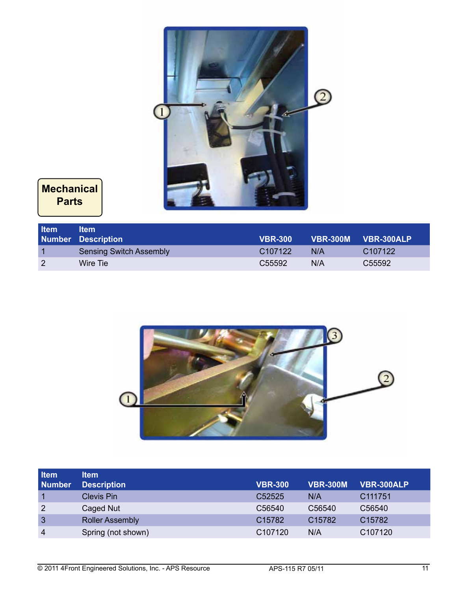

**Mechanical Parts**

| <b>Item</b>   | ltem<br><b>Number Description</b> | <b>VBR-300</b>      |     | VBR-300M VBR-300ALP |
|---------------|-----------------------------------|---------------------|-----|---------------------|
|               | Sensing Switch Assembly           | C <sub>107122</sub> | N/A | C <sub>107122</sub> |
| $\mathcal{P}$ | Wire Tie                          | C <sub>55592</sub>  | N/A | C <sub>55592</sub>  |



| <b>Item</b>    | ltem                   |                    |                    |                     |
|----------------|------------------------|--------------------|--------------------|---------------------|
| <b>Number</b>  | <b>Description</b>     | <b>VBR-300</b>     | <b>VBR-300M</b>    | <b>VBR-300ALP</b>   |
|                | <b>Clevis Pin</b>      | C <sub>52525</sub> | N/A                | C <sub>111751</sub> |
| $\overline{2}$ | Caged Nut              | C56540             | C56540             | C56540              |
| $\overline{3}$ | <b>Roller Assembly</b> | C15782             | C <sub>15782</sub> | C <sub>15782</sub>  |
| $\overline{4}$ | Spring (not shown)     | C107120            | N/A                | C107120             |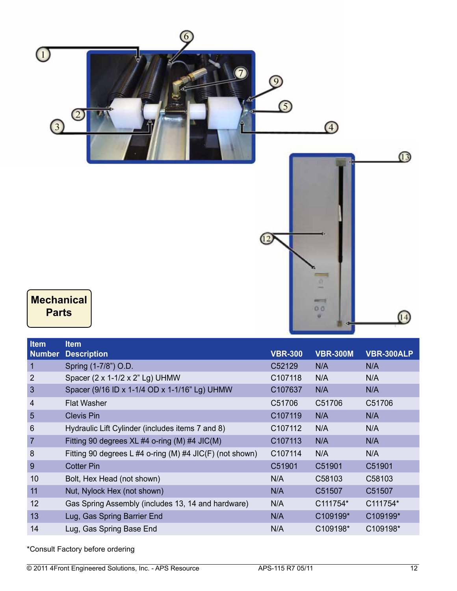

| ltem           | ltem                                                     |                |                 |                   |
|----------------|----------------------------------------------------------|----------------|-----------------|-------------------|
| <b>Number</b>  | <b>Description</b>                                       | <b>VBR-300</b> | <b>VBR-300M</b> | <b>VBR-300ALP</b> |
| 1              | Spring (1-7/8") O.D.                                     | C52129         | N/A             | N/A               |
| $\overline{2}$ | Spacer (2 x 1-1/2 x 2" Lg) UHMW                          | C107118        | N/A             | N/A               |
| 3              | Spacer (9/16 ID x 1-1/4 OD x 1-1/16" Lg) UHMW            | C107637        | N/A             | N/A               |
| 4              | <b>Flat Washer</b>                                       | C51706         | C51706          | C51706            |
| 5              | <b>Clevis Pin</b>                                        | C107119        | N/A             | N/A               |
| 6              | Hydraulic Lift Cylinder (includes items 7 and 8)         | C107112        | N/A             | N/A               |
| $\overline{7}$ | Fitting 90 degrees XL #4 o-ring (M) #4 JIC(M)            | C107113        | N/A             | N/A               |
| 8              | Fitting 90 degrees L #4 o-ring (M) #4 JIC(F) (not shown) | C107114        | N/A             | N/A               |
| 9              | <b>Cotter Pin</b>                                        | C51901         | C51901          | C51901            |
| 10             | Bolt, Hex Head (not shown)                               | N/A            | C58103          | C58103            |
| 11             | Nut, Nylock Hex (not shown)                              | N/A            | C51507          | C51507            |
| 12             | Gas Spring Assembly (includes 13, 14 and hardware)       | N/A            | C111754*        | C111754*          |
| 13             | Lug, Gas Spring Barrier End                              | N/A            | C109199*        | C109199*          |
| 14             | Lug, Gas Spring Base End                                 | N/A            | C109198*        | C109198*          |
|                |                                                          |                |                 |                   |

\*Consult Factory before ordering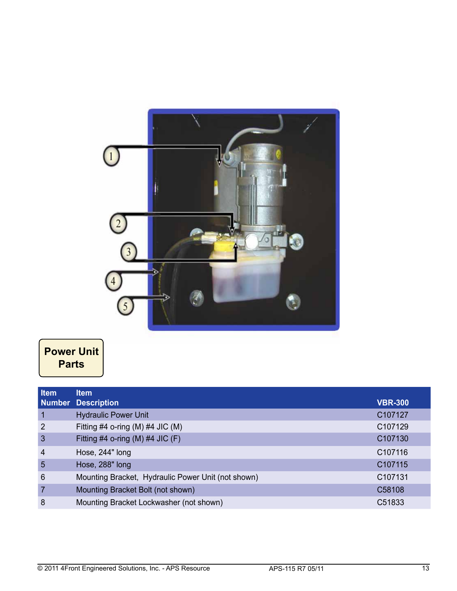

## **Power Unit Parts**

| Item            | <b>Item</b>                                        |                     |
|-----------------|----------------------------------------------------|---------------------|
|                 | <b>Number Description</b>                          | <b>VBR-300</b>      |
| $\overline{1}$  | <b>Hydraulic Power Unit</b>                        | C107127             |
| $\overline{2}$  | Fitting #4 o-ring (M) #4 JIC (M)                   | C107129             |
| $\overline{3}$  | Fitting #4 o-ring (M) #4 JIC (F)                   | C107130             |
| $\overline{4}$  | Hose, 244" long                                    | C <sub>107116</sub> |
| $5\overline{5}$ | Hose, 288" long                                    | C <sub>107115</sub> |
| 6               | Mounting Bracket, Hydraulic Power Unit (not shown) | C <sub>107131</sub> |
| $\overline{7}$  | Mounting Bracket Bolt (not shown)                  | C58108              |
| 8               | Mounting Bracket Lockwasher (not shown)            | C51833              |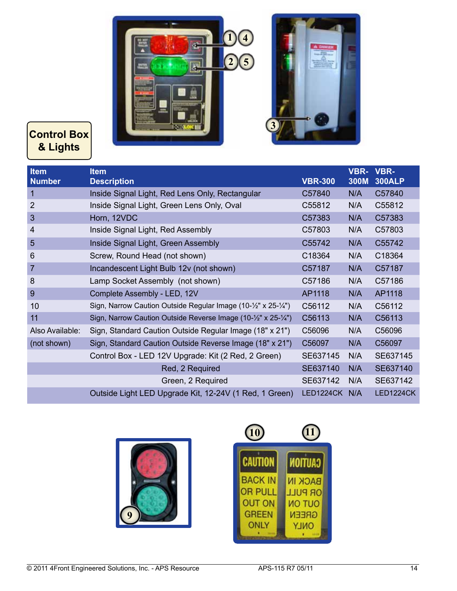



## **Control Box & Lights**

| <b>Item</b><br><b>Number</b> | <b>Item</b><br><b>Description</b>                              | <b>VBR-300</b> | VBR-<br>300M | <b>VBR-</b><br><b>300ALP</b> |
|------------------------------|----------------------------------------------------------------|----------------|--------------|------------------------------|
| $\mathbf{1}$                 | Inside Signal Light, Red Lens Only, Rectangular                | C57840         | N/A          | C57840                       |
| $\overline{2}$               | Inside Signal Light, Green Lens Only, Oval                     | C55812         | N/A          | C55812                       |
| 3                            | Horn, 12VDC                                                    | C57383         | N/A          | C57383                       |
| 4                            | Inside Signal Light, Red Assembly                              | C57803         | N/A          | C57803                       |
| 5                            | Inside Signal Light, Green Assembly                            | C55742         | N/A          | C55742                       |
| 6                            | Screw, Round Head (not shown)                                  | C18364         | N/A          | C18364                       |
| $\overline{7}$               | Incandescent Light Bulb 12v (not shown)                        | C57187         | N/A          | C57187                       |
| 8                            | Lamp Socket Assembly (not shown)                               | C57186         | N/A          | C57186                       |
| 9                            | Complete Assembly - LED, 12V                                   | AP1118         | N/A          | AP1118                       |
| 10                           | Sign, Narrow Caution Outside Regular Image (10-1/2" x 25-1/4") | C56112         | N/A          | C56112                       |
| 11                           | Sign, Narrow Caution Outside Reverse Image (10-1/2" x 25-1/4") | C56113         | N/A          | C56113                       |
| Also Available:              | Sign, Standard Caution Outside Regular Image (18" x 21")       | C56096         | N/A          | C56096                       |
| (not shown)                  | Sign, Standard Caution Outside Reverse Image (18" x 21")       | C56097         | N/A          | C56097                       |
|                              | Control Box - LED 12V Upgrade: Kit (2 Red, 2 Green)            | SE637145       | N/A          | SE637145                     |
|                              | Red, 2 Required                                                | SE637140       | N/A          | SE637140                     |
|                              | Green, 2 Required                                              | SE637142       | N/A          | SE637142                     |
|                              | Outside Light LED Upgrade Kit, 12-24V (1 Red, 1 Green)         | LED1224CK      | N/A          | LED1224CK                    |



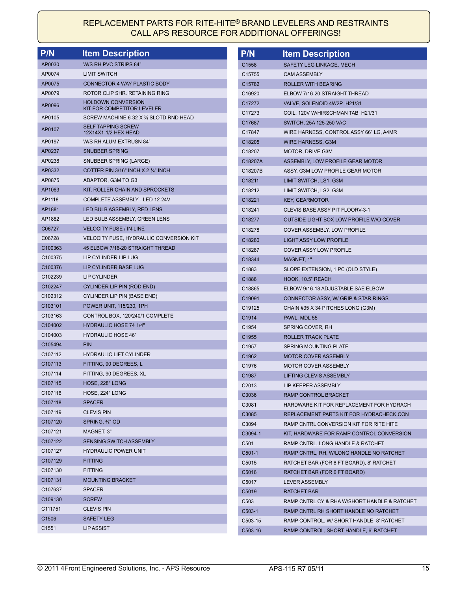#### REPLACEMENT PARTS FOR RITE-HITE® BRAND LEVELERS AND RESTRAINTS CALL APS RESOURCE FOR ADDITIONAL OFFERINGS!

| <b>P/N</b>          | <b>Item Description</b>                                            | <b>P/N</b>         | <b>Item Description</b>                        |
|---------------------|--------------------------------------------------------------------|--------------------|------------------------------------------------|
| AP0030              | W/S RH PVC STRIPS 84"                                              | C1558              | SAFETY LEG LINKAGE, MECH                       |
| AP0074              | <b>LIMIT SWITCH</b>                                                | C <sub>15755</sub> | <b>CAM ASSEMBLY</b>                            |
| AP0075              | <b>CONNECTOR 4 WAY PLASTIC BODY</b>                                | C15782             | <b>ROLLER WITH BEARING</b>                     |
| AP0079              | ROTOR CLIP SHR. RETAINING RING                                     | C16920             | ELBOW 7/16-20 STRAIGHT THREAD                  |
| AP0096              | <b>HOLDOWN CONVERSION</b>                                          | C17272             | VALVE, SOLENOID 4W2P H21/31                    |
|                     | KIT FOR COMPETITOR LEVELER                                         | C17273             | COIL, 120V W/HIRSCHMAN TAB H21/31              |
| AP0105              | SCREW MACHINE 6-32 X % SLOTD RND HEAD<br><b>SELF TAPPING SCREW</b> | C17687             | SWITCH, 25A 125-250 VAC                        |
| AP0107              | 12X14X1-1/2 HEX HEAD                                               | C17847             | WIRE HARNESS, CONTROL ASSY 66" LG, A4MR        |
| AP0197              | W/S RH ALUM EXTRUSN 84"                                            | C18205             | WIRE HARNESS, G3M                              |
| AP0237              | <b>SNUBBER SPRING</b>                                              | C18207             | <b>MOTOR, DRIVE G3M</b>                        |
| AP0238              | SNUBBER SPRING (LARGE)                                             | C18207A            | ASSEMBLY, LOW PROFILE GEAR MOTOR               |
| AP0332              | COTTER PIN 3/16" INCH X 2 1/4" INCH                                | C18207B            | ASSY, G3M LOW PROFILE GEAR MOTOR               |
| AP0875              | ADAPTOR, G3M TO G3                                                 | C18211             | LIMIT SWITCH, LS1, G3M                         |
| AP1063              | KIT, ROLLER CHAIN AND SPROCKETS                                    | C18212             | LIMIT SWITCH, LS2, G3M                         |
| AP1118              | COMPLETE ASSEMBLY - LED 12-24V                                     | C18221             | <b>KEY, GEARMOTOR</b>                          |
| AP1881              | LED BULB ASSEMBLY, RED LENS                                        | C18241             | CLEVIS BASE ASSY PIT FLOORV-3-1                |
| AP1882              | LED BULB ASSEMBLY, GREEN LENS                                      | C18277             | <b>OUTSIDE LIGHT BOX LOW PROFILE W/O COVER</b> |
| C06727              | <b>VELOCITY FUSE / IN-LINE</b>                                     | C18278             | COVER ASSEMBLY, LOW PROFILE                    |
| C06728              | <b>VELOCITY FUSE, HYDRAULIC CONVERSION KIT</b>                     | C18280             | <b>LIGHT ASSY LOW PROFILE</b>                  |
| C100363             | 45 ELBOW 7/16-20 STRAIGHT THREAD                                   | C18287             | <b>COVER ASSY LOW PROFILE</b>                  |
| C100375             | LIP CYLINDER LIP LUG                                               | C18344             | MAGNET, 1"                                     |
| C100376             | LIP CYLINDER BASE LUG                                              | C1883              | SLOPE EXTENSION, 1 PC (OLD STYLE)              |
| C102239             | <b>LIP CYLINDER</b>                                                | C1886              | HOOK, 10.5" REACH                              |
| C102247             | CYLINDER LIP PIN (ROD END)                                         | C18865             | ELBOW 9/16-18 ADJUSTABLE SAE ELBOW             |
| C102312             | CYLINDER LIP PIN (BASE END)                                        | C19091             | CONNECTOR ASSY, W/ GRIP & STAR RINGS           |
| C103101             | POWER UNIT, 115/230, 1PH                                           | C19125             | CHAIN #35 X 34 PITCHES LONG (G3M)              |
| C103163             | CONTROL BOX, 120/240/1 COMPLETE                                    | C1914              | PAWL, MDL 55                                   |
| C104002             | <b>HYDRAULIC HOSE 74 1/4"</b>                                      | C1954              | SPRING COVER, RH                               |
| C104003             | <b>HYDRAULIC HOSE 46"</b>                                          | C1955              | ROLLER TRACK PLATE                             |
| C105494             | <b>PIN</b>                                                         | C1957              | SPRING MOUNTING PLATE                          |
| C107112             | <b>HYDRAULIC LIFT CYLINDER</b>                                     | C1962              | <b>MOTOR COVER ASSEMBLY</b>                    |
| C107113             | FITTING, 90 DEGREES, L                                             | C1976              | <b>MOTOR COVER ASSEMBLY</b>                    |
| C107114             | FITTING, 90 DEGREES, XL                                            | C1987              | LIFTING CLEVIS ASSEMBLY                        |
| C107115             | HOSE, 228" LONG                                                    | C <sub>2013</sub>  | LIP KEEPER ASSEMBLY                            |
| C107116             | HOSE, 224" LONG                                                    | C3036              | RAMP CONTROL BRACKET                           |
| C107118             | <b>SPACER</b>                                                      | C3081              | HARDWARE KIT FOR REPLACEMENT FOR HYDRACH       |
| C107119             | <b>CLEVIS PIN</b>                                                  | C3085              | REPLACEMENT PARTS KIT FOR HYDRACHECK CON       |
| C107120             | SPRING, %" OD                                                      | C3094              | RAMP CNTRL CONVERSION KIT FOR RITE HITE        |
| C107121             | MAGNET, 3"                                                         | C3094-1            | KIT, HARDWARE FOR RAMP CONTROL CONVERSION      |
| C107122             | SENSING SWITCH ASSEMBLY                                            | C <sub>501</sub>   | RAMP CNTRL, LONG HANDLE & RATCHET              |
| C107127             | <b>HYDRAULIC POWER UNIT</b>                                        | $C501-1$           | RAMP CNTRL, RH, W/LONG HANDLE NO RATCHET       |
| C107129             | <b>FITTING</b>                                                     | C5015              | RATCHET BAR (FOR 8 FT BOARD), 8' RATCHET       |
| C <sub>107130</sub> | <b>FITTING</b>                                                     | C5016              | RATCHET BAR (FOR 6 FT BOARD)                   |
| C107131             | <b>MOUNTING BRACKET</b>                                            | C5017              | <b>LEVER ASSEMBLY</b>                          |
| C107637             | <b>SPACER</b>                                                      | C5019              | <b>RATCHET BAR</b>                             |
| C109130             | <b>SCREW</b>                                                       | C <sub>503</sub>   | RAMP CNTRL CY & RHA W/SHORT HANDLE & RATCHET   |
| C111751             | <b>CLEVIS PIN</b>                                                  | C503-1             | RAMP CNTRL RH SHORT HANDLE NO RATCHET          |
| C1506               | <b>SAFETY LEG</b>                                                  | C503-15            | RAMP CONTROL, W/ SHORT HANDLE, 8' RATCHET      |
| C1551               | <b>LIP ASSIST</b>                                                  | C503-16            | RAMP CONTROL, SHORT HANDLE, 6' RATCHET         |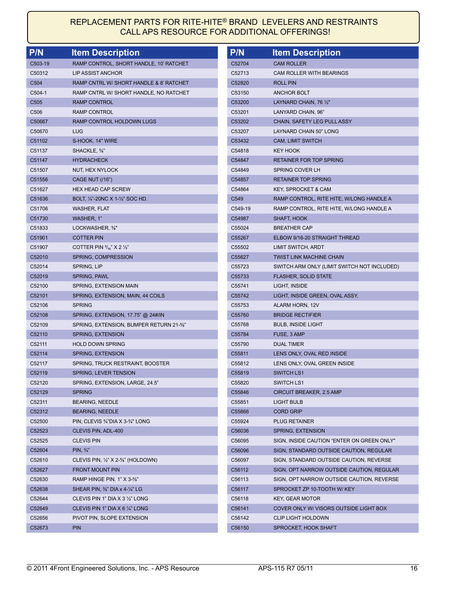## REPLACEMENT PARTS FOR RITE-HITE® BRAND LEVELERS AND RESTRAINTS CALL APS RESOURCE FOR ADDITIONAL OFFERINGS!

| P/N              | <b>Item Description</b>                                | P/N                | <b>Item Description</b>                     |
|------------------|--------------------------------------------------------|--------------------|---------------------------------------------|
| C503-19          | RAMP CONTROL, SHORT HANDLE, 10' RATCHET                | C52704             | <b>CAM ROLLER</b>                           |
| C50312           | LIP ASSIST ANCHOR                                      | C52713             | CAM ROLLER WITH BEARINGS                    |
| C <sub>504</sub> | RAMP CNTRL W/ SHORT HANDLE & 8' RATCHET                | C52820             | <b>ROLL PIN</b>                             |
| $C504-1$         | RAMP CNTRL W/ SHORT HANDLE, NO RATCHET                 | C53150             | <b>ANCHOR BOLT</b>                          |
| C <sub>505</sub> | RAMP CONTROL                                           | C53200             | LAYNARD CHAIN, 76 $\frac{1}{2}$ "           |
| C <sub>506</sub> | <b>RAMP CONTROL</b>                                    | C53201             | LANYARD CHAIN, 96"                          |
| C50667           | RAMP CONTROL HOLDOWN LUGS                              | C53202             | CHAIN, SAFETY LEG PULL ASSY                 |
| C50670           | <b>LUG</b>                                             | C53207             | LAYNARD CHAIN 50" LONG                      |
| C51102           | S-HOOK, 14" WIRE                                       | C53432             | <b>CAM, LIMIT SWITCH</b>                    |
| C51137           | SHACKLE, %"                                            | C54818             | KEY HOOK                                    |
| C51147           | <b>HYDRACHECK</b>                                      | C54847             | <b>RETAINER FOR TOP SPRING</b>              |
| C51507           | NUT, HEX NYLOCK                                        | C54849             | SPRING COVER LH                             |
| C51556           | <b>CAGE NUT (/16")</b>                                 | C54857             | <b>RETAINER TOP SPRING</b>                  |
| C51627           | <b>HEX HEAD CAP SCREW</b>                              | C54864             | <b>KEY, SPROCKET &amp; CAM</b>              |
| C51636           | BOLT, 1/4"-20NC X 1-1/2" SOC HD.                       | C549               | RAMP CONTROL, RITE HITE, W/LONG HANDLE A    |
| C51706           | WASHER, FLAT                                           | C549-19            | RAMP CONTROL, RITE HITE, W/LONG HANDLE A    |
| C51730           | WASHER, 1"                                             | C54987             | SHAFT, HOOK                                 |
| C51833           | LOCKWASHER, %"                                         | C55024             | <b>BREATHER CAP</b>                         |
| C51901           | <b>COTTER PIN</b>                                      | C55267             | ELBOW 9/16-20 STRAIGHT THREAD               |
| C51907           | COTTER PIN $\frac{3}{16}$ X 2 $\frac{1}{2}$            | C55502             | LIMIT SWITCH, ARDT                          |
| C52010           | SPRING, COMPRESSION                                    | C55627             | <b>TWIST LINK MACHINE CHAIN</b>             |
| C52014           | SPRING, LIP                                            | C <sub>55723</sub> | SWITCH ARM ONLY (LIMIT SWITCH NOT INCLUDED) |
| C52019           | SPRING, PAWL                                           | C55733             | <b>FLASHER, SOLID STATE</b>                 |
| C52100           | SPRING, EXTENSION MAIN                                 | C55741             | LIGHT, INSIDE                               |
| C52101           | SPRING, EXTENSION, MAIN, 44 COILS                      | C55742             | LIGHT, INSIDE GREEN, OVAL ASSY.             |
| C52106           | <b>SPRING</b>                                          | C55753             | ALARM HORN, 12V                             |
| C52108           | SPRING, EXTENSION, 17.75" @ 24#/IN                     | C55760             | <b>BRIDGE RECTIFIER</b>                     |
| C52109           | SPRING, EXTENSION, BUMPER RETURN 21-%"                 | C55768             | <b>BULB, INSIDE LIGHT</b>                   |
| C52110           | SPRING, EXTENSION                                      | C55784             | FUSE, 3 AMP                                 |
| C52111           | <b>HOLD DOWN SPRING</b>                                | C55790             | <b>DUAL TIMER</b>                           |
| C52114           | SPRING, EXTENSION                                      | C55811             | LENS ONLY, OVAL RED INSIDE                  |
| C52117           | SPRING, TRUCK RESTRAINT, BOOSTER                       | C55812             | LENS ONLY, OVAL GREEN INSIDE                |
| C52119           | SPRING, LEVER TENSION                                  | C55819             | <b>SWITCH LS1</b>                           |
| C52120           | SPRING, EXTENSION, LARGE, 24.5"                        | C55820             | <b>SWITCH LS1</b>                           |
| C52129           | <b>SPRING</b>                                          | C55846             | CIRCUIT BREAKER, 2.5 AMP                    |
| C52311           | <b>BEARING, NEEDLE</b>                                 | C55851             | <b>LIGHT BULB</b>                           |
| C52312           | <b>BEARING, NEEDLE</b>                                 | C55866             | <b>CORD GRIP</b>                            |
| C52500           | PIN, CLEVIS 3/4"DIA X 3-3/4" LONG                      | C55924             | <b>PLUG RETAINER</b>                        |
| C52523           | CLEVIS PIN, ADL-400                                    | C56036             | SPRING, EXTENSION                           |
| C52525           | <b>CLEVIS PIN</b>                                      | C56095             | SIGN, INSIDE CAUTION "ENTER ON GREEN ONLY"  |
| C52604           | $PIN, \frac{3}{4}$                                     | C56096             | SIGN, STANDARD OUTSIDE CAUTION, REGULAR     |
| C52610           | CLEVIS PIN, $\frac{1}{2}$ X 2-%" (HOLDOWN)             | C56097             | SIGN, STANDARD OUTSIDE CAUTION, REVERSE     |
| C52627           | <b>FRONT MOUNT PIN</b>                                 | C56112             | SIGN, OPT NARROW OUTSIDE CAUTION, REGULAR   |
| C52630           | RAMP HINGE PIN. 1" X 3-%"                              | C56113             | SIGN, OPT NARROW OUTSIDE CAUTION, REVERSE   |
| C52638           | SHEAR PIN, $\frac{3}{8}$ " DIA x 4- $\frac{1}{4}$ " LG | C56117             | SPROCKET ZP 10-TOOTH W/ KEY                 |
| C52644           | CLEVIS PIN 1" DIA X 3 1/2" LONG                        | C56118             | KEY, GEAR MOTOR                             |
| C52649           | CLEVIS PIN 1" DIA X 6 1/4" LONG                        | C56141             | COVER ONLY W/ VISORS OUTSIDE LIGHT BOX      |
| C52656           | PIVOT PIN, SLOPE EXTENSION                             | C56142             | <b>CLIP LIGHT HOLDOWN</b>                   |
| C52673           | <b>PIN</b>                                             | C56150             | SPROCKET, HOOK SHAFT                        |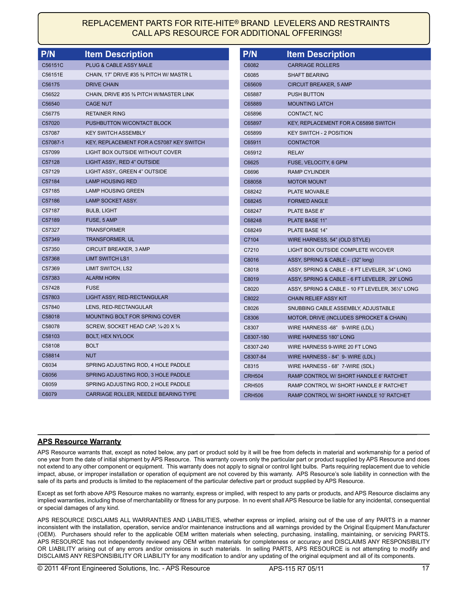#### REPLACEMENT PARTS FOR RITE-HITE® BRAND LEVELERS AND RESTRAINTS CALL APS RESOURCE FOR ADDITIONAL OFFERINGS!

| P/N      | <b>Item Description</b>                  | P/N           | <b>Item Description</b>                         |
|----------|------------------------------------------|---------------|-------------------------------------------------|
| C56151C  | PLUG & CABLE ASSY MALE                   | C6082         | <b>CARRIAGE ROLLERS</b>                         |
| C56151E  | CHAIN, 17" DRIVE #35 % PITCH W/ MASTR L  | C6085         | <b>SHAFT BEARING</b>                            |
| C56175   | <b>DRIVE CHAIN</b>                       | C65609        | <b>CIRCUIT BREAKER, 5 AMP</b>                   |
| C56522   | CHAIN, DRIVE #35 % PITCH W/MASTER LINK   | C65887        | <b>PUSH BUTTON</b>                              |
| C56540   | <b>CAGE NUT</b>                          | C65889        | <b>MOUNTING LATCH</b>                           |
| C56775   | <b>RETAINER RING</b>                     | C65896        | CONTACT, N/C                                    |
| C57020   | PUSHBUTTON W/CONTACT BLOCK               | C65897        | KEY, REPLACEMENT FOR A C65898 SWITCH            |
| C57087   | <b>KEY SWITCH ASSEMBLY</b>               | C65899        | <b>KEY SWITCH - 2 POSITION</b>                  |
| C57087-1 | KEY, REPLACEMENT FOR A C57087 KEY SWITCH | C65911        | <b>CONTACTOR</b>                                |
| C57099   | LIGHT BOX OUTSIDE WITHOUT COVER          | C65912        | <b>RELAY</b>                                    |
| C57128   | LIGHT ASSY., RED 4" OUTSIDE              | C6625         | FUSE, VELOCITY, 6 GPM                           |
| C57129   | LIGHT ASSY., GREEN 4" OUTSIDE            | C6696         | <b>RAMP CYLINDER</b>                            |
| C57184   | <b>LAMP HOUSING RED</b>                  | C68058        | <b>MOTOR MOUNT</b>                              |
| C57185   | <b>LAMP HOUSING GREEN</b>                | C68242        | PLATE MOVABLE                                   |
| C57186   | LAMP SOCKET ASSY.                        | C68245        | <b>FORMED ANGLE</b>                             |
| C57187   | <b>BULB, LIGHT</b>                       | C68247        | PLATE BASE 8"                                   |
| C57189   | FUSE, 5 AMP                              | C68248        | <b>PLATE BASE 11"</b>                           |
| C57327   | <b>TRANSFORMER</b>                       | C68249        | PLATE BASE 14"                                  |
| C57349   | <b>TRANSFORMER, UL</b>                   | C7104         | WIRE HARNESS, 54" (OLD STYLE)                   |
| C57350   | <b>CIRCUIT BREAKER, 3 AMP</b>            | C7210         | LIGHT BOX OUTSIDE COMPLETE W/COVER              |
| C57368   | <b>LIMT SWITCH LS1</b>                   | C8016         | ASSY, SPRING & CABLE - (32" long)               |
| C57369   | LIMIT SWITCH, LS2                        | C8018         | ASSY, SPRING & CABLE - 8 FT LEVELER, 34" LONG   |
| C57383   | <b>ALARM HORN</b>                        | C8019         | ASSY, SPRING & CABLE - 6 FT LEVELER, 29" LONG   |
| C57428   | <b>FUSE</b>                              | C8020         | ASSY, SPRING & CABLE - 10 FT LEVELER, 36½" LONG |
| C57803   | LIGHT ASSY, RED-RECTANGULAR              | C8022         | <b>CHAIN RELIEF ASSY KIT</b>                    |
| C57840   | LENS, RED-RECTANGULAR                    | C8026         | SNUBBING CABLE ASSEMBLY, ADJUSTABLE             |
| C58018   | MOUNTING BOLT FOR SPRING COVER           | C8306         | MOTOR, DRIVE (INCLUDES SPROCKET & CHAIN)        |
| C58078   | SCREW, SOCKET HEAD CAP, 1/4-20 X 3/4     | C8307         | WIRE HARNESS -68" 9-WIRE (LDL)                  |
| C58103   | <b>BOLT, HEX NYLOCK</b>                  | C8307-180     | <b>WIRE HARNESS 180" LONG</b>                   |
| C58108   | <b>BOLT</b>                              | C8307-240     | WIRE HARNESS 9-WIRE 20 FT LONG                  |
| C58814   | <b>NUT</b>                               | C8307-84      | WIRE HARNESS - 84" 9- WIRE (LDL)                |
| C6034    | SPRING ADJUSTING ROD, 4 HOLE PADDLE      | C8315         | WIRE HARNESS - 68" 7-WIRE (SDL)                 |
| C6056    | SPRING ADJUSTING ROD, 3 HOLE PADDLE      | <b>CRH504</b> | RAMP CONTROL W/ SHORT HANDLE 6' RATCHET         |
| C6059    | SPRING ADJUSTING ROD, 2 HOLE PADDLE      | <b>CRH505</b> | RAMP CONTROL W/ SHORT HANDLE 8' RATCHET         |
| C6079    | CARRIAGE ROLLER, NEEDLE BEARING TYPE     | <b>CRH506</b> | RAMP CONTROL W/ SHORT HANDLE 10' RATCHET        |

#### **APS Resource Warranty**

APS Resource warrants that, except as noted below, any part or product sold by it will be free from defects in material and workmanship for a period of one year from the date of initial shipment by APS Resource. This warranty covers only the particular part or product supplied by APS Resource and does not extend to any other component or equipment. This warranty does not apply to signal or control light bulbs. Parts requiring replacement due to vehicle impact, abuse, or improper installation or operation of equipment are not covered by this warranty. APS Resource's sole liability in connection with the sale of its parts and products is limited to the replacement of the particular defective part or product supplied by APS Resource.

Except as set forth above APS Resource makes no warranty, express or implied, with respect to any parts or products, and APS Resource disclaims any implied warranties, including those of merchantability or fitness for any purpose. In no event shall APS Resource be liable for any incidental, consequential or special damages of any kind.

APS RESOURCE DISCLAIMS ALL WARRANTIES AND LIABILITIES, whether express or implied, arising out of the use of any PARTS in a manner inconsistent with the installation, operation, service and/or maintenance instructions and all warnings provided by the Original Equipment Manufacturer (OEM). Purchasers should refer to the applicable OEM written materials when selecting, purchasing, installing, maintaining, or servicing PARTS. APS RESOURCE has not independently reviewed any OEM written materials for completeness or accuracy and DISCLAIMS ANY RESPONSIBILITY OR LIABILITY arising out of any errors and/or omissions in such materials. In selling PARTS, APS RESOURCE is not attempting to modify and DISCLAIMS ANY RESPONSIBILITY OR LIABILITY for any modification to and/or any updating of the original equipment and all of its components.